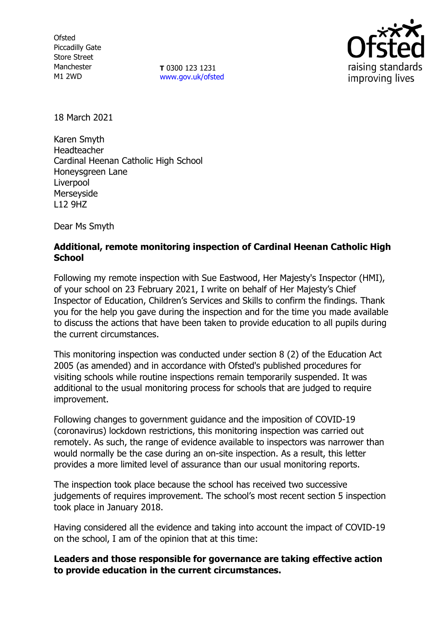**Ofsted** Piccadilly Gate Store Street Manchester M1 2WD

**T** 0300 123 1231 [www.gov.uk/ofsted](http://www.gov.uk/ofsted)



18 March 2021

Karen Smyth Headteacher Cardinal Heenan Catholic High School Honeysgreen Lane Liverpool Merseyside L12 9HZ

Dear Ms Smyth

## **Additional, remote monitoring inspection of Cardinal Heenan Catholic High School**

Following my remote inspection with Sue Eastwood, Her Majesty's Inspector (HMI), of your school on 23 February 2021, I write on behalf of Her Majesty's Chief Inspector of Education, Children's Services and Skills to confirm the findings. Thank you for the help you gave during the inspection and for the time you made available to discuss the actions that have been taken to provide education to all pupils during the current circumstances.

This monitoring inspection was conducted under section 8 (2) of the Education Act 2005 (as amended) and in accordance with Ofsted's published procedures for visiting schools while routine inspections remain temporarily suspended. It was additional to the usual monitoring process for schools that are judged to require improvement.

Following changes to government guidance and the imposition of COVID-19 (coronavirus) lockdown restrictions, this monitoring inspection was carried out remotely. As such, the range of evidence available to inspectors was narrower than would normally be the case during an on-site inspection. As a result, this letter provides a more limited level of assurance than our usual monitoring reports.

The inspection took place because the school has received two successive judgements of requires improvement. The school's most recent section 5 inspection took place in January 2018.

Having considered all the evidence and taking into account the impact of COVID-19 on the school, I am of the opinion that at this time:

**Leaders and those responsible for governance are taking effective action to provide education in the current circumstances.**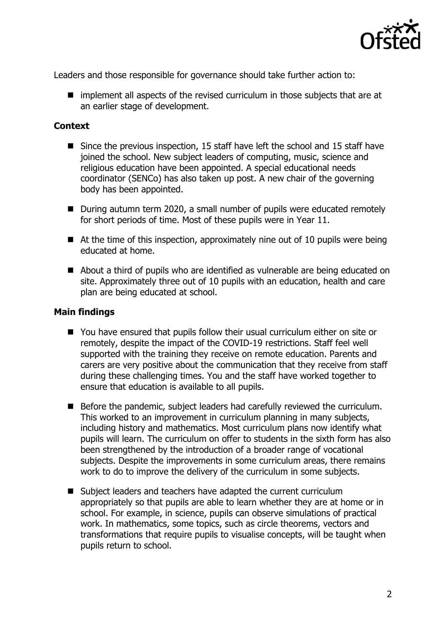

Leaders and those responsible for governance should take further action to:

 $\blacksquare$  implement all aspects of the revised curriculum in those subjects that are at an earlier stage of development.

## **Context**

- Since the previous inspection, 15 staff have left the school and 15 staff have joined the school. New subject leaders of computing, music, science and religious education have been appointed. A special educational needs coordinator (SENCo) has also taken up post. A new chair of the governing body has been appointed.
- During autumn term 2020, a small number of pupils were educated remotely for short periods of time. Most of these pupils were in Year 11.
- $\blacksquare$  At the time of this inspection, approximately nine out of 10 pupils were being educated at home.
- About a third of pupils who are identified as vulnerable are being educated on site. Approximately three out of 10 pupils with an education, health and care plan are being educated at school.

## **Main findings**

- You have ensured that pupils follow their usual curriculum either on site or remotely, despite the impact of the COVID-19 restrictions. Staff feel well supported with the training they receive on remote education. Parents and carers are very positive about the communication that they receive from staff during these challenging times. You and the staff have worked together to ensure that education is available to all pupils.
- Before the pandemic, subject leaders had carefully reviewed the curriculum. This worked to an improvement in curriculum planning in many subjects, including history and mathematics. Most curriculum plans now identify what pupils will learn. The curriculum on offer to students in the sixth form has also been strengthened by the introduction of a broader range of vocational subjects. Despite the improvements in some curriculum areas, there remains work to do to improve the delivery of the curriculum in some subjects.
- Subject leaders and teachers have adapted the current curriculum appropriately so that pupils are able to learn whether they are at home or in school. For example, in science, pupils can observe simulations of practical work. In mathematics, some topics, such as circle theorems, vectors and transformations that require pupils to visualise concepts, will be taught when pupils return to school.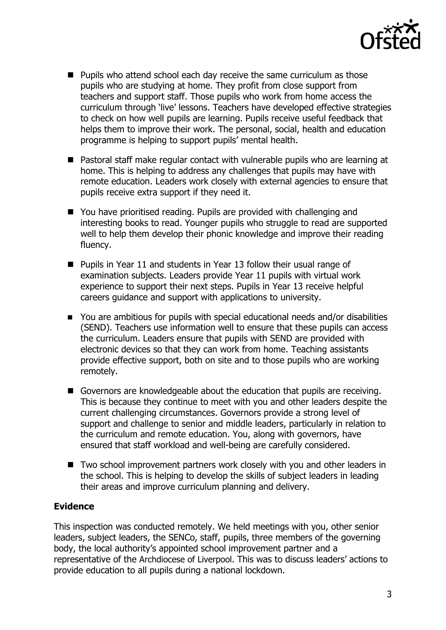

- $\blacksquare$  Pupils who attend school each day receive the same curriculum as those pupils who are studying at home. They profit from close support from teachers and support staff. Those pupils who work from home access the curriculum through 'live' lessons. Teachers have developed effective strategies to check on how well pupils are learning. Pupils receive useful feedback that helps them to improve their work. The personal, social, health and education programme is helping to support pupils' mental health.
- Pastoral staff make regular contact with vulnerable pupils who are learning at home. This is helping to address any challenges that pupils may have with remote education. Leaders work closely with external agencies to ensure that pupils receive extra support if they need it.
- You have prioritised reading. Pupils are provided with challenging and interesting books to read. Younger pupils who struggle to read are supported well to help them develop their phonic knowledge and improve their reading fluency.
- Pupils in Year 11 and students in Year 13 follow their usual range of examination subjects. Leaders provide Year 11 pupils with virtual work experience to support their next steps. Pupils in Year 13 receive helpful careers guidance and support with applications to university.
- You are ambitious for pupils with special educational needs and/or disabilities (SEND). Teachers use information well to ensure that these pupils can access the curriculum. Leaders ensure that pupils with SEND are provided with electronic devices so that they can work from home. Teaching assistants provide effective support, both on site and to those pupils who are working remotely.
- Governors are knowledgeable about the education that pupils are receiving. This is because they continue to meet with you and other leaders despite the current challenging circumstances. Governors provide a strong level of support and challenge to senior and middle leaders, particularly in relation to the curriculum and remote education. You, along with governors, have ensured that staff workload and well-being are carefully considered.
- Two school improvement partners work closely with you and other leaders in the school. This is helping to develop the skills of subject leaders in leading their areas and improve curriculum planning and delivery.

## **Evidence**

This inspection was conducted remotely. We held meetings with you, other senior leaders, subject leaders, the SENCo, staff, pupils, three members of the governing body, the local authority's appointed school improvement partner and a representative of the Archdiocese of Liverpool. This was to discuss leaders' actions to provide education to all pupils during a national lockdown.